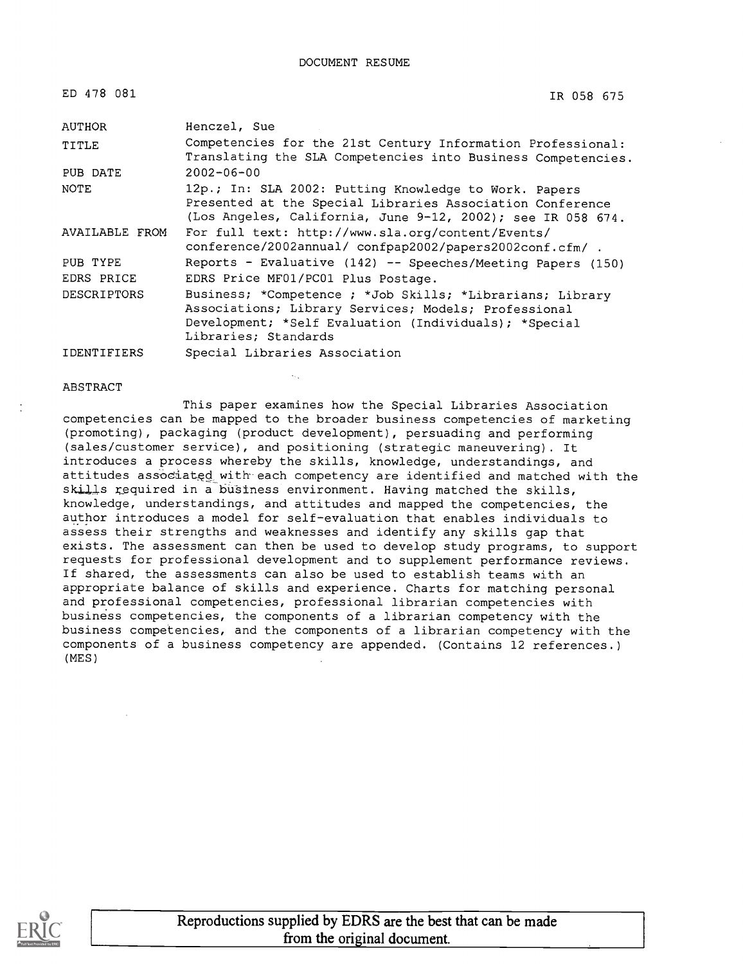| ED 478 081         | IR 058 675                                                                                                                                                                                         |
|--------------------|----------------------------------------------------------------------------------------------------------------------------------------------------------------------------------------------------|
| AUTHOR             | Henczel, Sue                                                                                                                                                                                       |
| TITLE              | Competencies for the 21st Century Information Professional:<br>Translating the SLA Competencies into Business Competencies.                                                                        |
| PUB DATE           | $2002 - 06 - 00$                                                                                                                                                                                   |
| NOTE               | 12p.; In: SLA 2002: Putting Knowledge to Work. Papers<br>Presented at the Special Libraries Association Conference<br>(Los Angeles, California, June 9-12, 2002); see IR 058 674.                  |
| AVAILABLE FROM     | For full text: http://www.sla.org/content/Events/<br>conference/2002annual/ confpap2002/papers2002conf.cfm/ .                                                                                      |
| PUB TYPE           | Reports - Evaluative (142) -- Speeches/Meeting Papers (150)                                                                                                                                        |
| EDRS PRICE         | EDRS Price MF01/PC01 Plus Postage.                                                                                                                                                                 |
| <b>DESCRIPTORS</b> | Business; *Competence ; *Job Skills; *Librarians; Library<br>Associations; Library Services; Models; Professional<br>Development; *Self Evaluation (Individuals); *Special<br>Libraries; Standards |
|                    |                                                                                                                                                                                                    |

IDENTIFIERS Special Libraries Association

#### **ABSTRACT**

This paper examines how the Special Libraries Association competencies can be mapped to the broader business competencies of marketing (promoting), packaging (product development), persuading and performing (sales/customer service), and positioning (strategic maneuvering). It introduces a process whereby the skills, knowledge, understandings, and attitudes associated with each competency are identified and matched with the skills required in a business environment. Having matched the skills, knowledge, understandings, and attitudes and mapped the competencies, the author introduces a model for self-evaluation that enables individuals to assess their strengths and weaknesses and identify any skills gap that exists. The assessment can then be used to develop study programs, to support requests for professional development and to supplement performance reviews. If shared, the assessments can also be used to establish teams with an appropriate balance of skills and experience. Charts for matching personal and professional competencies, professional librarian competencies with business competencies, the components of a librarian competency with the business competencies, and the components of a librarian competency with the components of a business competency are appended. (Contains 12 references.) (MES)

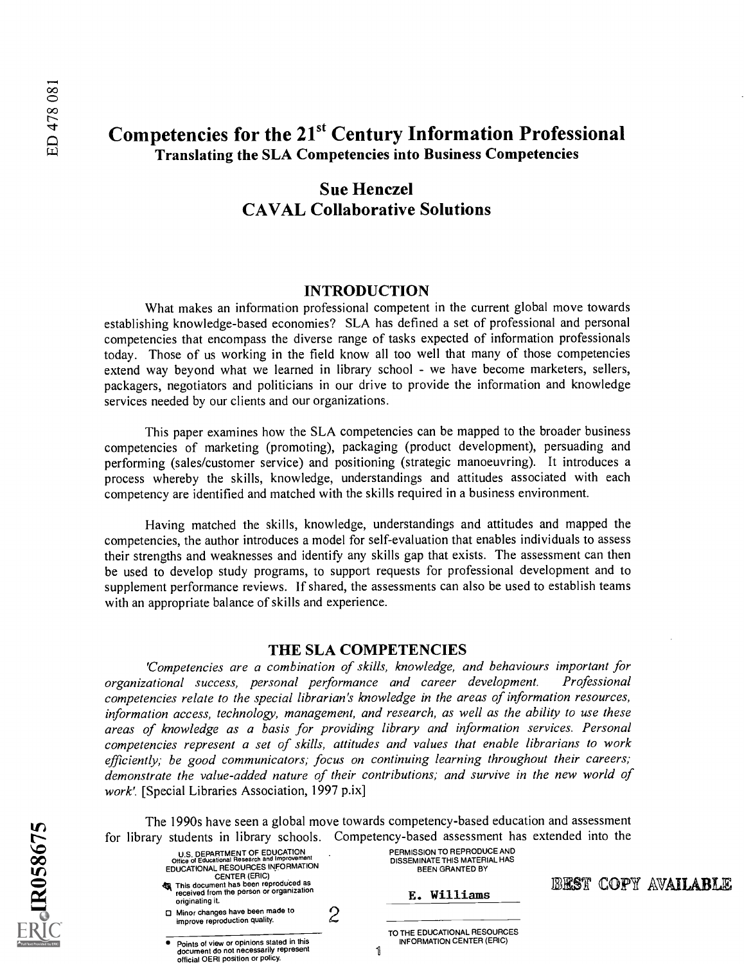## Competencies for the 21<sup>st</sup> Century Information Professional Translating the SLA Competencies into Business Competencies

## Sue Henczel CAVAL Collaborative Solutions

#### INTRODUCTION

What makes an information professional competent in the current global move towards establishing knowledge-based economies? SLA has defined a set of professional and personal competencies that encompass the diverse range of tasks expected of information professionals today. Those of us working in the field know all too well that many of those competencies extend way beyond what we learned in library school - we have become marketers, sellers, packagers, negotiators and politicians in our drive to provide the information and knowledge services needed by our clients and our organizations.

This paper examines how the SLA competencies can be mapped to the broader business competencies of marketing (promoting), packaging (product development), persuading and performing (sales/customer service) and positioning (strategic manoeuvring). It introduces a process whereby the skills, knowledge, understandings and attitudes associated with each competency are identified and matched with the skills required in a business environment.

Having matched the skills, knowledge, understandings and attitudes and mapped the competencies, the author introduces a model for self-evaluation that enables individuals to assess their strengths and weaknesses and identify any skills gap that exists. The assessment can then be used to develop study programs, to support requests for professional development and to supplement performance reviews. If shared, the assessments can also be used to establish teams with an appropriate balance of skills and experience.

#### THE SLA COMPETENCIES

'Competencies are a combination of skills, knowledge, and behaviours important for organizational success, personal performance and career development. Professional competencies relate to the special librarian's knowledge in the areas of information resources, information access, technology, management, and research, as well as the ability to use these areas of knowledge as a basis for providing library and information services. Personal competencies represent a set of skills, attitudes and values that enable librarians to work efficiently; be good communicators; focus on continuing learning throughout their careers; demonstrate the value-added nature of their contributions; and survive in the new world of work'. [Special Libraries Association, 1997 p.ix]

The 1990s have seen a global move towards competency-based education and assessment for library students in library schools. Competency-based assessment has extended into the

**BEST COPY AVAILABLE** 

|                                                                                                                                             | students in holdly schools. Competency-based assessment has exten                      |    |
|---------------------------------------------------------------------------------------------------------------------------------------------|----------------------------------------------------------------------------------------|----|
| U.S. DEPARTMENT OF EDUCATION<br>Office of Educational Research and Improvement<br>EDUCATIONAL RESOURCES INFORMATION<br><b>CENTER (ERIC)</b> | PERMISSION TO REPRODUCE AND<br>DISSEMINATE THIS MATERIAL HAS<br><b>BEEN GRANTED BY</b> |    |
| This document has been reproduced as<br>received from the person or organization<br>originating it.                                         | E. Williams                                                                            | 18 |
| □ Minor changes have been made to<br>improve reproduction quality.                                                                          |                                                                                        |    |
| Points of view or opinions stated in this<br>document do not necessarily represent<br>official OERI position or policy.                     | TO THE EDUCATIONAL RESOURCES<br>INFORMATION CENTER (ERIC)<br>1                         |    |

**EQIR058675**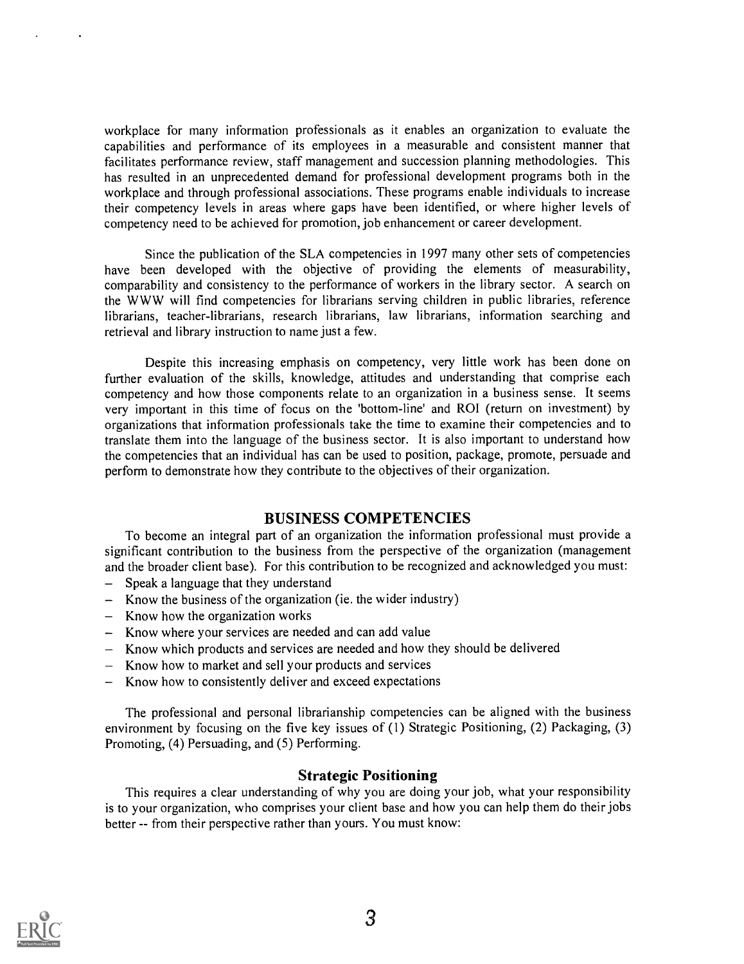workplace for many information professionals as it enables an organization to evaluate the capabilities and performance of its employees in a measurable and consistent manner that facilitates performance review, staff management and succession planning methodologies. This has resulted in an unprecedented demand for professional development programs both in the workplace and through professional associations. These programs enable individuals to increase their competency levels in areas where gaps have been identified, or where higher levels of competency need to be achieved for promotion, job enhancement or career development.

Since the publication of the SLA competencies in 1997 many other sets of competencies have been developed with the objective of providing the elements of measurability, comparability and consistency to the performance of workers in the library sector. A search on the WWW will find competencies for librarians serving children in public libraries, reference librarians, teacher-librarians, research librarians, law librarians, information searching and retrieval and library instruction to name just a few.

Despite this increasing emphasis on competency, very little work has been done on further evaluation of the skills, knowledge, attitudes and understanding that comprise each competency and how those components relate to an organization in a business sense. It seems very important in this time of focus on the 'bottom-line' and ROI (return on investment) by organizations that information professionals take the time to examine their competencies and to translate them into the language of the business sector. It is also important to understand how the competencies that an individual has can be used to position, package, promote, persuade and perform to demonstrate how they contribute to the objectives of their organization.

#### BUSINESS COMPETENCIES

To become an integral part of an organization the information professional must provide a significant contribution to the business from the perspective of the organization (management and the broader client base). For this contribution to be recognized and acknowledged you must:

- Speak a language that they understand  $\overline{\phantom{0}}$
- Know the business of the organization (ie. the wider industry)
- $-$  Know how the organization works
- Know where your services are needed and can add value
- Know which products and services are needed and how they should be delivered
- Know how to market and sell your products and services
- Know how to consistently deliver and exceed expectations

The professional and personal librarianship competencies can be aligned with the business environment by focusing on the five key issues of (1) Strategic Positioning, (2) Packaging, (3) Promoting, (4) Persuading, and (5) Performing.

#### Strategic Positioning

This requires a clear understanding of why you are doing your job, what your responsibility is to your organization, who comprises your client base and how you can help them do their jobs better -- from their perspective rather than yours. You must know:

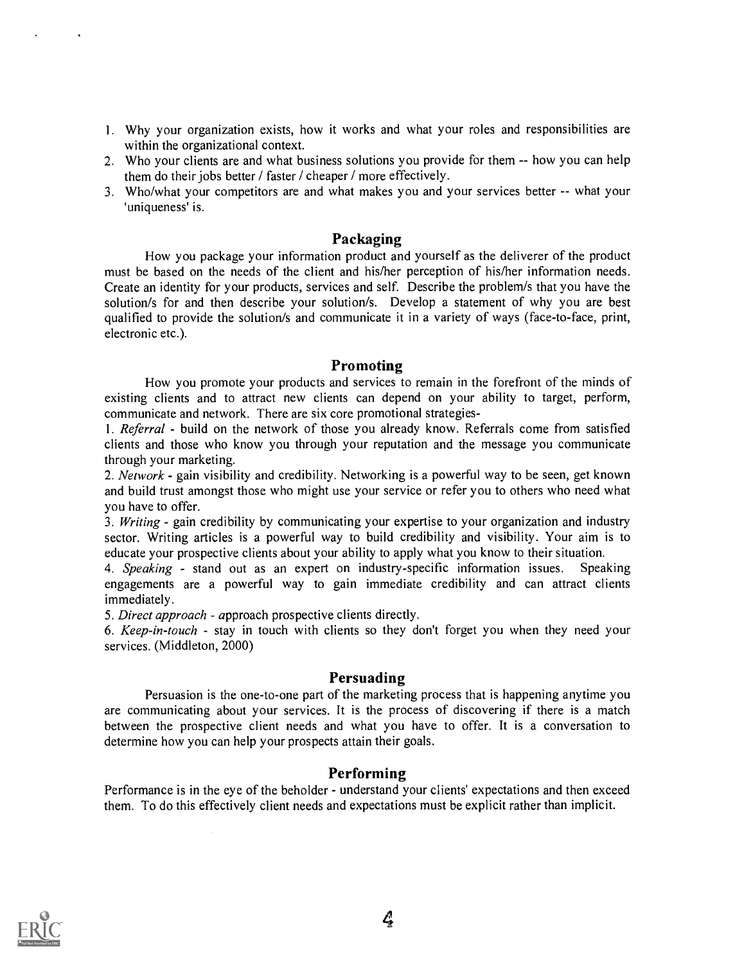- 1. Why your organization exists, how it works and what your roles and responsibilities are within the organizational context.
- 2. Who your clients are and what business solutions you provide for them -- how you can help them do their jobs better / faster / cheaper / more effectively.
- 3. Who/what your competitors are and what makes you and your services better -- what your 'uniqueness' is.

#### Packaging

How you package your information product and yourself as the deliverer of the product must be based on the needs of the client and his/her perception of his/her information needs. Create an identity for your products, services and self. Describe the problem/s that you have the solution/s for and then describe your solution/s. Develop a statement of why you are best qualified to provide the solution/s and communicate it in a variety of ways (face-to-face, print, electronic etc.).

#### Promoting

How you promote your products and services to remain in the forefront of the minds of existing clients and to attract new clients can depend on your ability to target, perform, communicate and network. There are six core promotional strategies-

1. Referral - build on the network of those you already know. Referrals come from satisfied clients and those who know you through your reputation and the message you communicate through your marketing.

2. Network - gain visibility and credibility. Networking is a powerful way to be seen, get known and build trust amongst those who might use your service or refer you to others who need what you have to offer.

3. Writing - gain credibility by communicating your expertise to your organization and industry sector. Writing articles is a powerful way to build credibility and visibility. Your aim is to educate your prospective clients about your ability to apply what you know to their situation.

4. Speaking - stand out as an expert on industry-specific information issues. Speaking engagements are a powerful way to gain immediate credibility and can attract clients immediately.

5. Direct approach - approach prospective clients directly.

6. Keep-in-touch - stay in touch with clients so they don't forget you when they need your services. (Middleton, 2000)

#### Persuading

Persuasion is the one-to-one part of the marketing process that is happening anytime you are communicating about your services. It is the process of discovering if there is a match between the prospective client needs and what you have to offer. It is a conversation to determine how you can help your prospects attain their goals.

#### Performing

Performance is in the eye of the beholder - understand your clients' expectations and then exceed them. To do this effectively client needs and expectations must be explicit rather than implicit.

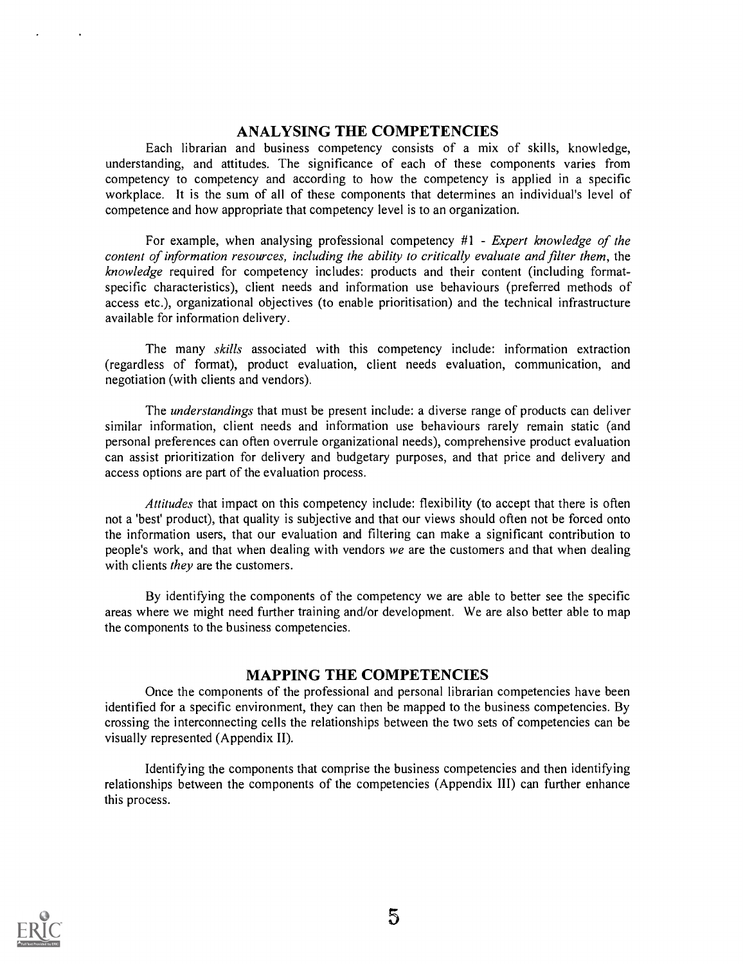#### ANALYSING THE COMPETENCIES

Each librarian and business competency consists of a mix of skills, knowledge, understanding, and attitudes. The significance of each of these components varies from competency to competency and according to how the competency is applied in a specific workplace. It is the sum of all of these components that determines an individual's level of competence and how appropriate that competency level is to an organization.

For example, when analysing professional competency #1 - Expert knowledge of the content of information resources, including the ability to critically evaluate and filter them, the knowledge required for competency includes: products and their content (including formatspecific characteristics), client needs and information use behaviours (preferred methods of access etc.), organizational objectives (to enable prioritisation) and the technical infrastructure available for information delivery.

The many skills associated with this competency include: information extraction (regardless of format), product evaluation, client needs evaluation, communication, and negotiation (with clients and vendors).

The understandings that must be present include: a diverse range of products can deliver similar information, client needs and information use behaviours rarely remain static (and personal preferences can often overrule organizational needs), comprehensive product evaluation can assist prioritization for delivery and budgetary purposes, and that price and delivery and access options are part of the evaluation process.

Attitudes that impact on this competency include: flexibility (to accept that there is often not a 'best' product), that quality is subjective and that our views should often not be forced onto the information users, that our evaluation and filtering can make a significant contribution to people's work, and that when dealing with vendors we are the customers and that when dealing with clients they are the customers.

By identifying the components of the competency we are able to better see the specific areas where we might need further training and/or development. We are also better able to map the components to the business competencies.

### MAPPING THE COMPETENCIES

Once the components of the professional and personal librarian competencies have been identified for a specific environment, they can then be mapped to the business competencies. By crossing the interconnecting cells the relationships between the two sets of competencies can be visually represented (Appendix II).

Identifying the components that comprise the business competencies and then identifying relationships between the components of the competencies (Appendix III) can further enhance this process.

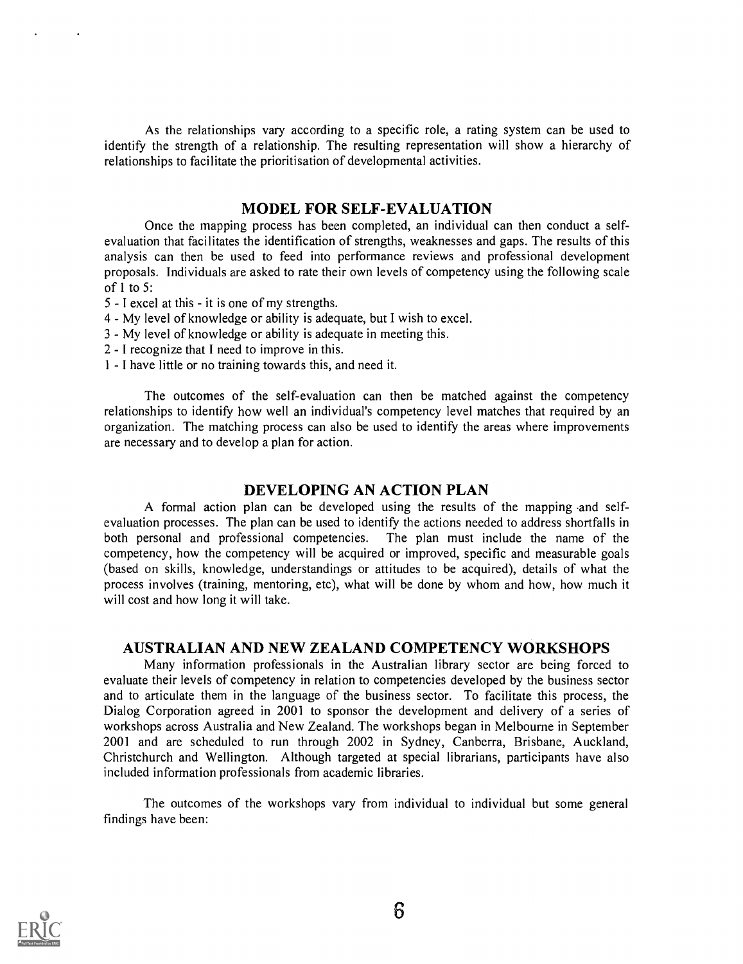As the relationships vary according to a specific role, a rating system can be used to identify the strength of a relationship. The resulting representation will show a hierarchy of relationships to facilitate the prioritisation of developmental activities.

#### MODEL FOR SELF-EVALUATION

Once the mapping process has been completed, an individual can then conduct a selfevaluation that facilitates the identification of strengths, weaknesses and gaps. The results of this analysis can then be used to feed into performance reviews and professional development proposals. Individuals are asked to rate their own levels of competency using the following scale of 1 to 5:

- 5 I excel at this it is one of my strengths.
- 4 My level of knowledge or ability is adequate, but I wish to excel.
- 3 My level of knowledge or ability is adequate in meeting this.
- 2 I recognize that I need to improve in this.
- 1 I have little or no training towards this, and need it.

The outcomes of the self-evaluation can then be matched against the competency relationships to identify how well an individual's competency level matches that required by an organization. The matching process can also be used to identify the areas where improvements are necessary and to develop a plan for action.

#### DEVELOPING AN ACTION PLAN

A formal action plan can be developed using the results of the mapping -and selfevaluation processes. The plan can be used to identify the actions needed to address shortfalls in both personal and professional competencies. The plan must include the name of the competency, how the competency will be acquired or improved, specific and measurable goals (based on skills, knowledge, understandings or attitudes to be acquired), details of what the process involves (training, mentoring, etc), what will be done by whom and how, how much it will cost and how long it will take.

#### AUSTRALIAN AND NEW ZEALAND COMPETENCY WORKSHOPS

Many information professionals in the Australian library sector are being forced to evaluate their levels of competency in relation to competencies developed by the business sector and to articulate them in the language of the business sector. To facilitate this process, the Dialog Corporation agreed in 2001 to sponsor the development and delivery of a series of workshops across Australia and New Zealand. The workshops began in Melbourne in September 2001 and are scheduled to run through 2002 in Sydney, Canberra, Brisbane, Auckland, Christchurch and Wellington. Although targeted at special librarians, participants have also included information professionals from academic libraries.

The outcomes of the workshops vary from individual to individual but some general findings have been:

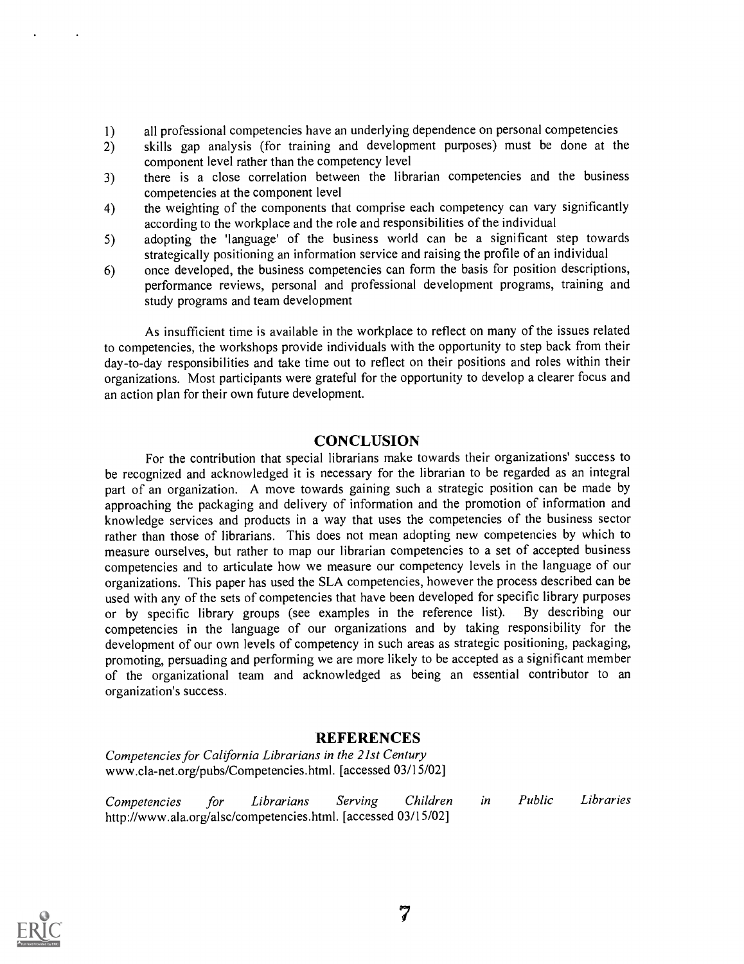- 1) all professional competencies have an underlying dependence on personal competencies
- 2) skills gap analysis (for training and development purposes) must be done at the component level rather than the competency level
- 3) there is a close correlation between the librarian competencies and the business competencies at the component level
- 4) the weighting of the components that comprise each competency can vary significantly according to the workplace and the role and responsibilities of the individual
- 5) adopting the 'language' of the business world can be a significant step towards strategically positioning an information service and raising the profile of an individual
- 6) once developed, the business competencies can form the basis for position descriptions, performance reviews, personal and professional development programs, training and study programs and team development

As insufficient time is available in the workplace to reflect on many of the issues related to competencies, the workshops provide individuals with the opportunity to step back from their day-to-day responsibilities and take time out to reflect on their positions and roles within their organizations. Most participants were grateful for the opportunity to develop a clearer focus and an action plan for their own future development.

#### **CONCLUSION**

For the contribution that special librarians make towards their organizations' success to be recognized and acknowledged it is necessary for the librarian to be regarded as an integral part of an organization. A move towards gaining such a strategic position can be made by approaching the packaging and delivery of information and the promotion of information and knowledge services and products in a way that uses the competencies of the business sector rather than those of librarians. This does not mean adopting new competencies by which to measure ourselves, but rather to map our librarian competencies to a set of accepted business competencies and to articulate how we measure our competency levels in the language of our organizations. This paper has used the SLA competencies, however the process described can be used with any of the sets of competencies that have been developed for specific library purposes or by specific library groups (see examples in the reference list). By describing our competencies in the language of our organizations and by taking responsibility for the development of our own levels of competency in such areas as strategic positioning, packaging, promoting, persuading and performing we are more likely to be accepted as a significant member of the organizational team and acknowledged as being an essential contributor to an organization's success.

#### REFERENCES

Competencies for California Librarians in the 21st Century www.cla-net.org/pubs/Competencies.html. [accessed 03/15/02]

Competencies for Librarians Serving Children in Public Libraries http://www.ala.org/alsc/competencies.html. [accessed 03/15/02]

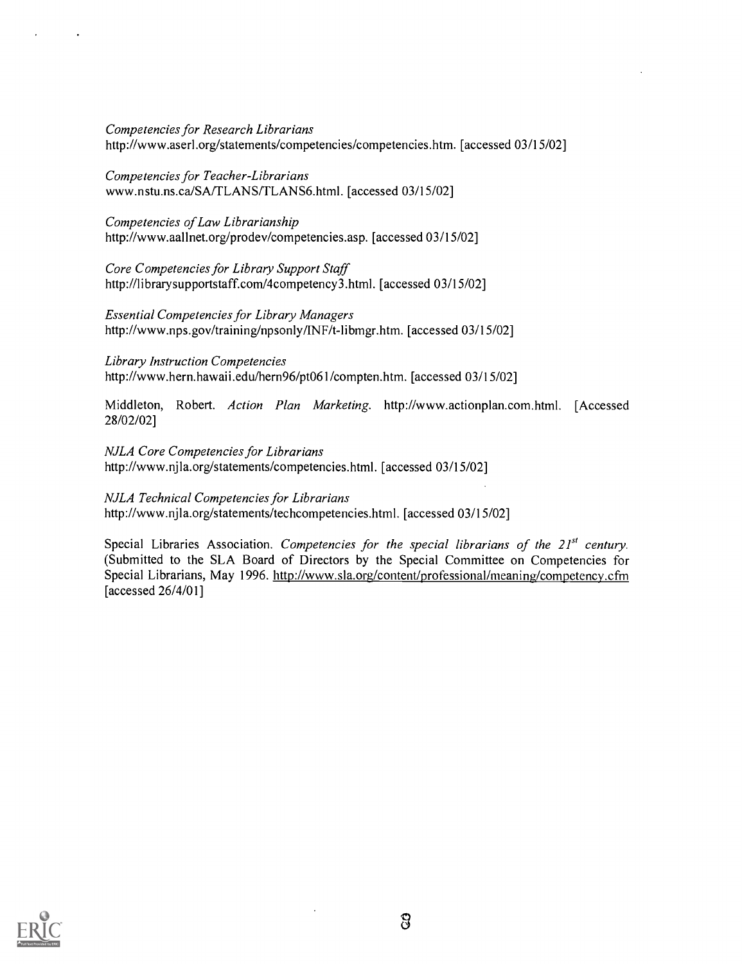Competencies for Research Librarians http://www.aserl.org/statements/competencies/competencies.htm. [accessed 03/15/02]

Competencies for Teacher-Librarians www.nstu.ns.ca/SA/TLANS/TLANS6.html. [accessed 03/15/02]

Competencies of Law Librarianship http://www.aallnet.org/prodev/competencies.asp. [accessed 03/15/02]

Core Competencies for Library Support Staff http://librarysupportstaff.com/4competency3.html. [accessed 03/15/02]

Essential Competencies for Library Managers http://www.nps.gov/training/npsonly/INF/t-libmgr.htm. [accessed 03/15/02]

Library Instruction Competencies http://www.hern.hawaii.edu/hern96/pt061/compten.htm. [accessed 03/15/02]

Middleton, Robert. Action Plan Marketing. http://www.actionplan.com.html. [Accessed 28/02/02]

NJLA Core Competencies for Librarians http://www.njla.org/statements/competencies.html. [accessed 03/15/02]

NJLA Technical Competencies for Librarians http://www.njla.org/statements/techcompetencies.html. [accessed 03/15/02]

Special Libraries Association. Competencies for the special librarians of the  $21<sup>st</sup>$  century. (Submitted to the SLA Board of Directors by the Special Committee on Competencies for Special Librarians, May 1996. http://www.sla.org/content/professional/meaning/competency.cfm [accessed 26/4/01]

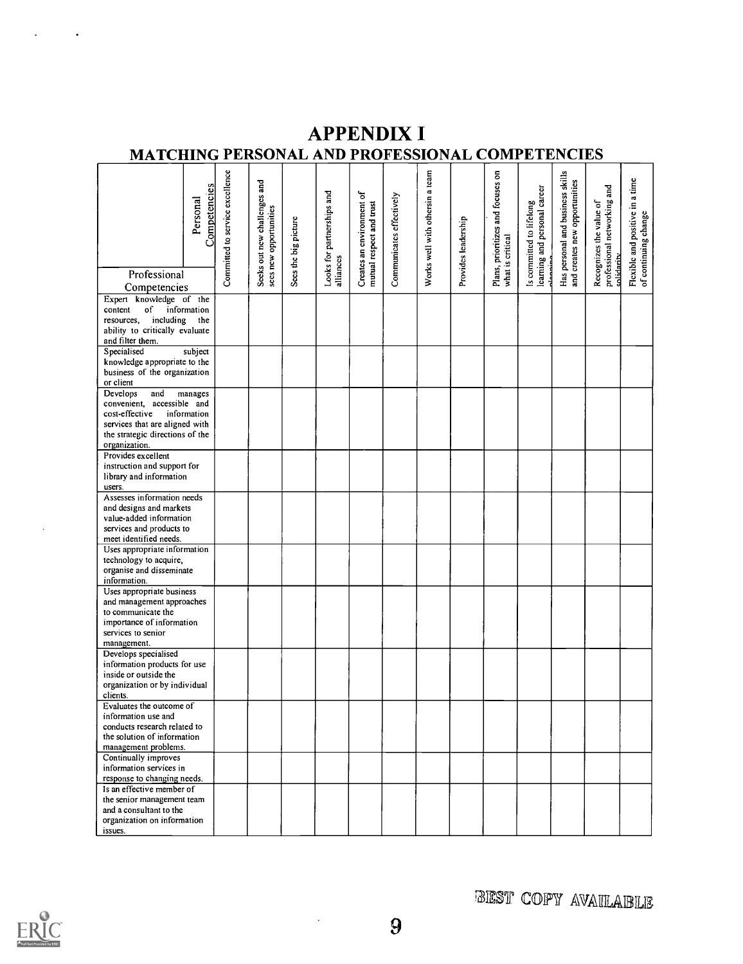# **APPENDIX I** MATCHING PERSONAL AND PROFESSIONAL COMPETENCIES

|                                                                                                                           | Competencies<br>Personal | Committed to service excellence | Seeks out new challenges and<br>secs new opportunities | Sees the big picture | Looks for partnerships and | Creates an environment of<br>mutual respect and trust | Communicates effectively | Works well with othersin a team | Provides leadership | Plans, prioritizes and focuses on<br>what is critical | learning and personal career<br>Is committed to lifelong | Has personal and business skills<br>and creates new opportunities | professional networking and<br>Recognizes the value of | Flexible and positive in a time<br>of continuing change |
|---------------------------------------------------------------------------------------------------------------------------|--------------------------|---------------------------------|--------------------------------------------------------|----------------------|----------------------------|-------------------------------------------------------|--------------------------|---------------------------------|---------------------|-------------------------------------------------------|----------------------------------------------------------|-------------------------------------------------------------------|--------------------------------------------------------|---------------------------------------------------------|
| Professional                                                                                                              |                          |                                 |                                                        |                      | alliances                  |                                                       |                          |                                 |                     |                                                       | alamas                                                   |                                                                   | solidantv                                              |                                                         |
| Competencies                                                                                                              |                          |                                 |                                                        |                      |                            |                                                       |                          |                                 |                     |                                                       |                                                          |                                                                   |                                                        |                                                         |
| Expert knowledge of the<br>content<br>of<br>including<br>resources,<br>ability to critically evaluate<br>and filter them. | information<br>the       |                                 |                                                        |                      |                            |                                                       |                          |                                 |                     |                                                       |                                                          |                                                                   |                                                        |                                                         |
| Specialised                                                                                                               | subject                  |                                 |                                                        |                      |                            |                                                       |                          |                                 |                     |                                                       |                                                          |                                                                   |                                                        |                                                         |
| knowledge appropriate to the<br>business of the organization<br>or client                                                 |                          |                                 |                                                        |                      |                            |                                                       |                          |                                 |                     |                                                       |                                                          |                                                                   |                                                        |                                                         |
| Develops<br>and                                                                                                           | manages                  |                                 |                                                        |                      |                            |                                                       |                          |                                 |                     |                                                       |                                                          |                                                                   |                                                        |                                                         |
| convenient, accessible and                                                                                                |                          |                                 |                                                        |                      |                            |                                                       |                          |                                 |                     |                                                       |                                                          |                                                                   |                                                        |                                                         |
| cost-effective                                                                                                            | information              |                                 |                                                        |                      |                            |                                                       |                          |                                 |                     |                                                       |                                                          |                                                                   |                                                        |                                                         |
| services that are aligned with                                                                                            |                          |                                 |                                                        |                      |                            |                                                       |                          |                                 |                     |                                                       |                                                          |                                                                   |                                                        |                                                         |
| the strategic directions of the<br>organization.                                                                          |                          |                                 |                                                        |                      |                            |                                                       |                          |                                 |                     |                                                       |                                                          |                                                                   |                                                        |                                                         |
| Provides excellent                                                                                                        |                          |                                 |                                                        |                      |                            |                                                       |                          |                                 |                     |                                                       |                                                          |                                                                   |                                                        |                                                         |
| instruction and support for                                                                                               |                          |                                 |                                                        |                      |                            |                                                       |                          |                                 |                     |                                                       |                                                          |                                                                   |                                                        |                                                         |
| library and information                                                                                                   |                          |                                 |                                                        |                      |                            |                                                       |                          |                                 |                     |                                                       |                                                          |                                                                   |                                                        |                                                         |
| users.                                                                                                                    |                          |                                 |                                                        |                      |                            |                                                       |                          |                                 |                     |                                                       |                                                          |                                                                   |                                                        |                                                         |
| Assesses information needs                                                                                                |                          |                                 |                                                        |                      |                            |                                                       |                          |                                 |                     |                                                       |                                                          |                                                                   |                                                        |                                                         |
| and designs and markets                                                                                                   |                          |                                 |                                                        |                      |                            |                                                       |                          |                                 |                     |                                                       |                                                          |                                                                   |                                                        |                                                         |
| value-added information<br>services and products to                                                                       |                          |                                 |                                                        |                      |                            |                                                       |                          |                                 |                     |                                                       |                                                          |                                                                   |                                                        |                                                         |
| meet identified needs.                                                                                                    |                          |                                 |                                                        |                      |                            |                                                       |                          |                                 |                     |                                                       |                                                          |                                                                   |                                                        |                                                         |
| Uses appropriate information                                                                                              |                          |                                 |                                                        |                      |                            |                                                       |                          |                                 |                     |                                                       |                                                          |                                                                   |                                                        |                                                         |
| technology to acquire,                                                                                                    |                          |                                 |                                                        |                      |                            |                                                       |                          |                                 |                     |                                                       |                                                          |                                                                   |                                                        |                                                         |
| organise and disseminate                                                                                                  |                          |                                 |                                                        |                      |                            |                                                       |                          |                                 |                     |                                                       |                                                          |                                                                   |                                                        |                                                         |
| information.                                                                                                              |                          |                                 |                                                        |                      |                            |                                                       |                          |                                 |                     |                                                       |                                                          |                                                                   |                                                        |                                                         |
| Uses appropriate business                                                                                                 |                          |                                 |                                                        |                      |                            |                                                       |                          |                                 |                     |                                                       |                                                          |                                                                   |                                                        |                                                         |
| and management approaches                                                                                                 |                          |                                 |                                                        |                      |                            |                                                       |                          |                                 |                     |                                                       |                                                          |                                                                   |                                                        |                                                         |
| to communicate the<br>importance of information                                                                           |                          |                                 |                                                        |                      |                            |                                                       |                          |                                 |                     |                                                       |                                                          |                                                                   |                                                        |                                                         |
| services to senior                                                                                                        |                          |                                 |                                                        |                      |                            |                                                       |                          |                                 |                     |                                                       |                                                          |                                                                   |                                                        |                                                         |
| management.                                                                                                               |                          |                                 |                                                        |                      |                            |                                                       |                          |                                 |                     |                                                       |                                                          |                                                                   |                                                        |                                                         |
| Develops specialised                                                                                                      |                          |                                 |                                                        |                      |                            |                                                       |                          |                                 |                     |                                                       |                                                          |                                                                   |                                                        |                                                         |
| information products for use                                                                                              |                          |                                 |                                                        |                      |                            |                                                       |                          |                                 |                     |                                                       |                                                          |                                                                   |                                                        |                                                         |
| inside or outside the                                                                                                     |                          |                                 |                                                        |                      |                            |                                                       |                          |                                 |                     |                                                       |                                                          |                                                                   |                                                        |                                                         |
| organization or by individual                                                                                             |                          |                                 |                                                        |                      |                            |                                                       |                          |                                 |                     |                                                       |                                                          |                                                                   |                                                        |                                                         |
| clients.<br>Evaluates the outcome of                                                                                      |                          |                                 |                                                        |                      |                            |                                                       |                          |                                 |                     |                                                       |                                                          |                                                                   |                                                        |                                                         |
| information use and                                                                                                       |                          |                                 |                                                        |                      |                            |                                                       |                          |                                 |                     |                                                       |                                                          |                                                                   |                                                        |                                                         |
| conducts research related to                                                                                              |                          |                                 |                                                        |                      |                            |                                                       |                          |                                 |                     |                                                       |                                                          |                                                                   |                                                        |                                                         |
| the solution of information                                                                                               |                          |                                 |                                                        |                      |                            |                                                       |                          |                                 |                     |                                                       |                                                          |                                                                   |                                                        |                                                         |
| management problems.                                                                                                      |                          |                                 |                                                        |                      |                            |                                                       |                          |                                 |                     |                                                       |                                                          |                                                                   |                                                        |                                                         |
| Continually improves                                                                                                      |                          |                                 |                                                        |                      |                            |                                                       |                          |                                 |                     |                                                       |                                                          |                                                                   |                                                        |                                                         |
| information services in                                                                                                   |                          |                                 |                                                        |                      |                            |                                                       |                          |                                 |                     |                                                       |                                                          |                                                                   |                                                        |                                                         |
| response to changing needs.<br>Is an effective member of                                                                  |                          |                                 |                                                        |                      |                            |                                                       |                          |                                 |                     |                                                       |                                                          |                                                                   |                                                        |                                                         |
| the senior management team                                                                                                |                          |                                 |                                                        |                      |                            |                                                       |                          |                                 |                     |                                                       |                                                          |                                                                   |                                                        |                                                         |
| and a consultant to the                                                                                                   |                          |                                 |                                                        |                      |                            |                                                       |                          |                                 |                     |                                                       |                                                          |                                                                   |                                                        |                                                         |
| organization on information                                                                                               |                          |                                 |                                                        |                      |                            |                                                       |                          |                                 |                     |                                                       |                                                          |                                                                   |                                                        |                                                         |
| issues.                                                                                                                   |                          |                                 |                                                        |                      |                            |                                                       |                          |                                 |                     |                                                       |                                                          |                                                                   |                                                        |                                                         |



BIEST COPY AVAILABLE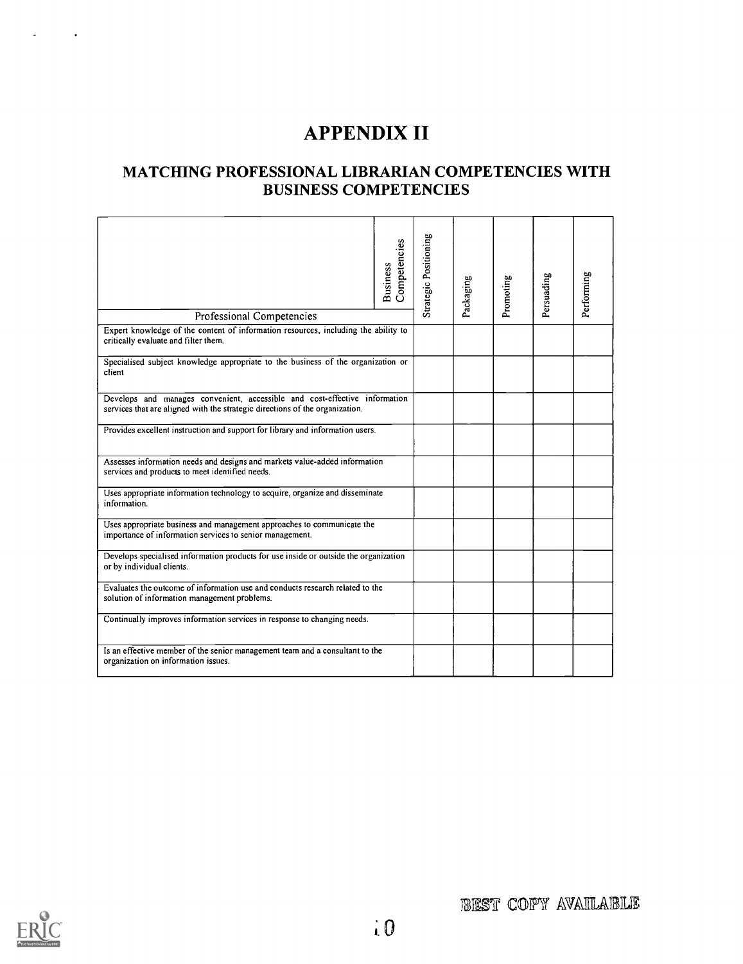# **APPENDIX II**

## MATCHING PROFESSIONAL LIBRARIAN COMPETENCIES WITH **BUSINESS COMPETENCIES**

| Professional Competencies                                                                                                                                  | Competencies<br><b>Business</b> | Strategic Positioning | Packaging | Promoting | Persuading | Performing |
|------------------------------------------------------------------------------------------------------------------------------------------------------------|---------------------------------|-----------------------|-----------|-----------|------------|------------|
| Expert knowledge of the content of information resources, including the ability to                                                                         |                                 |                       |           |           |            |            |
| critically evaluate and filter them.                                                                                                                       |                                 |                       |           |           |            |            |
| Specialised subject knowledge appropriate to the business of the organization or<br>client                                                                 |                                 |                       |           |           |            |            |
| Develops and manages convenient, accessible and cost-effective information<br>services that are aligned with the strategic directions of the organization. |                                 |                       |           |           |            |            |
| Provides excellent instruction and support for library and information users.                                                                              |                                 |                       |           |           |            |            |
| Assesses information needs and designs and markets value-added information<br>services and products to meet identified needs.                              |                                 |                       |           |           |            |            |
| Uses appropriate information technology to acquire, organize and disseminate<br>information.                                                               |                                 |                       |           |           |            |            |
| Uses appropriate business and management approaches to communicate the<br>importance of information services to senior management.                         |                                 |                       |           |           |            |            |
| Develops specialised information products for use inside or outside the organization<br>or by individual clients.                                          |                                 |                       |           |           |            |            |
| Evaluates the outcome of information use and conducts research related to the<br>solution of information management problems.                              |                                 |                       |           |           |            |            |
| Continually improves information services in response to changing needs.                                                                                   |                                 |                       |           |           |            |            |
| Is an effective member of the senior management team and a consultant to the<br>organization on information issues.                                        |                                 |                       |           |           |            |            |

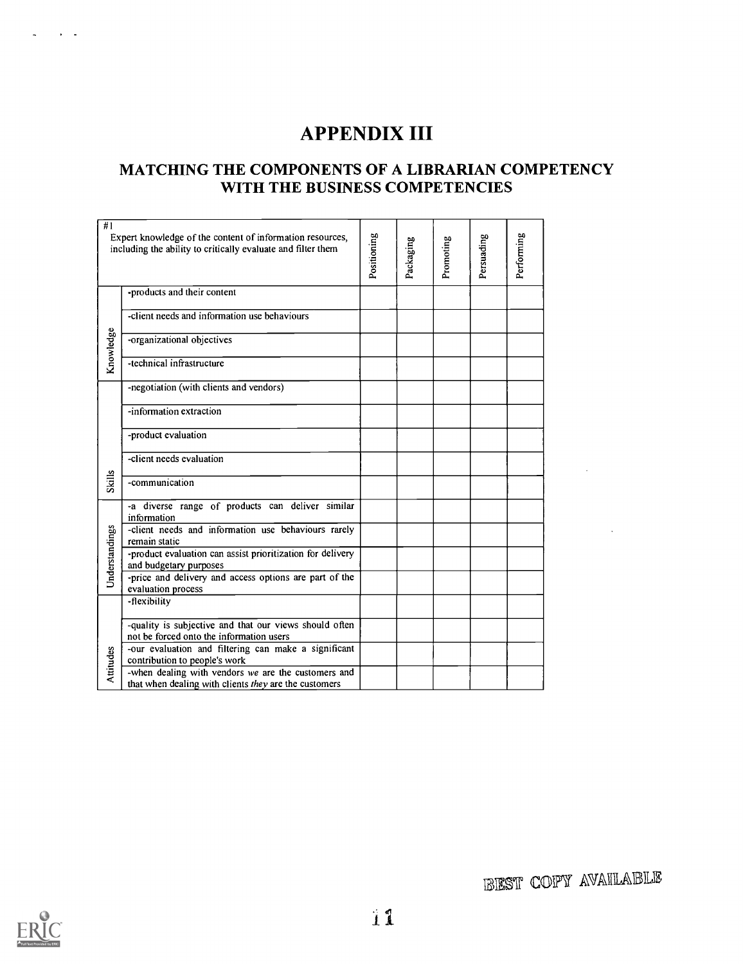# APPENDIX III

## MATCHING THE COMPONENTS OF A LIBRARIAN COMPETENCY WITH THE BUSINESS COMPETENCIES

| #1             | Expert knowledge of the content of information resources,<br>including the ability to critically evaluate and filter them | Positioning | Packaging | Promoting | Persuading | Performing |
|----------------|---------------------------------------------------------------------------------------------------------------------------|-------------|-----------|-----------|------------|------------|
|                | -products and their content                                                                                               |             |           |           |            |            |
|                | -client needs and information use behaviours                                                                              |             |           |           |            |            |
| Knowledge      | -organizational objectives                                                                                                |             |           |           |            |            |
|                | -technical infrastructure                                                                                                 |             |           |           |            |            |
|                | -negotiation (with clients and vendors)                                                                                   |             |           |           |            |            |
|                | -information extraction                                                                                                   |             |           |           |            |            |
|                | -product evaluation                                                                                                       |             |           |           |            |            |
|                | -client needs evaluation                                                                                                  |             |           |           |            |            |
| <b>Skills</b>  | -communication                                                                                                            |             |           |           |            |            |
|                | -a diverse range of products can deliver similar<br>information                                                           |             |           |           |            |            |
|                | -client needs and information use behaviours rarely<br>remain static                                                      |             |           |           |            |            |
| Understandings | -product evaluation can assist prioritization for delivery<br>and budgetary purposes                                      |             |           |           |            |            |
|                | -price and delivery and access options are part of the<br>evaluation process                                              |             |           |           |            |            |
|                | -flexibility                                                                                                              |             |           |           |            |            |
|                | -quality is subjective and that our views should often<br>not be forced onto the information users                        |             |           |           |            |            |
| Attitudes      | -our evaluation and filtering can make a significant<br>contribution to people's work                                     |             |           |           |            |            |
|                | -when dealing with vendors we are the customers and<br>that when dealing with clients they are the customers              |             |           |           |            |            |



**REST COPY AVAILABLE**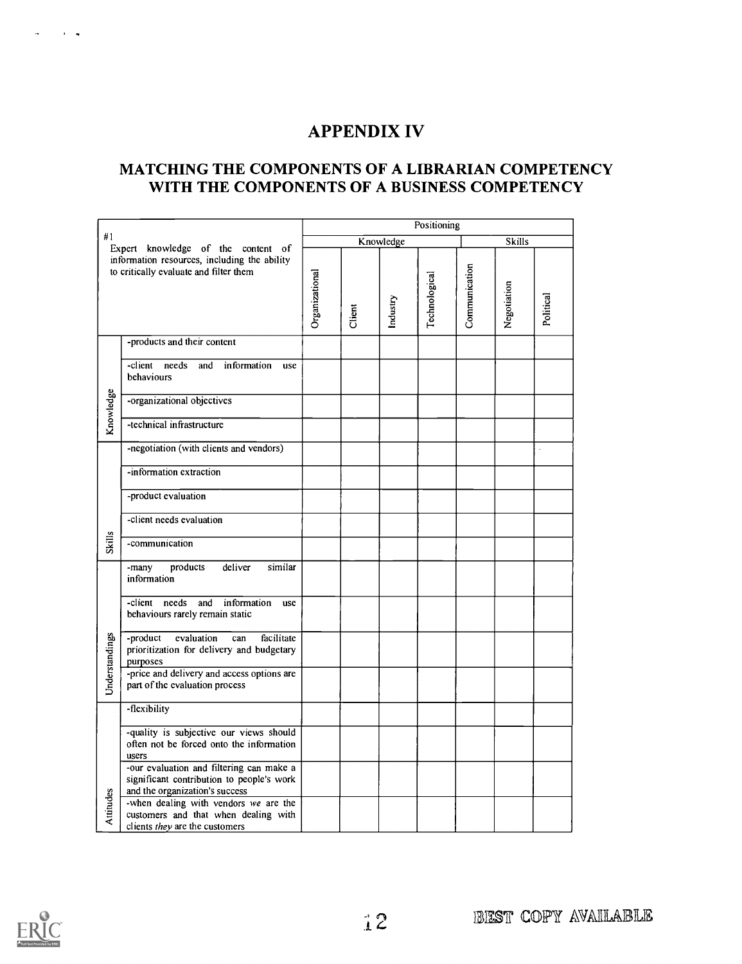## **APPENDIX IV**

### MATCHING THE COMPONENTS OF A LIBRARIAN COMPETENCY WITH THE COMPONENTS OF A BUSINESS COMPETENCY

| #1<br>Expert knowledge of the content of                                               |                                                                                                                         |                | Positioning |           |               |               |             |           |  |  |  |  |
|----------------------------------------------------------------------------------------|-------------------------------------------------------------------------------------------------------------------------|----------------|-------------|-----------|---------------|---------------|-------------|-----------|--|--|--|--|
|                                                                                        |                                                                                                                         |                |             | Knowledge | <b>Skills</b> |               |             |           |  |  |  |  |
| information resources, including the ability<br>to critically evaluate and filter them |                                                                                                                         | Organizational | Client      | ndustry   | Technological | Communication | Negotiation | Political |  |  |  |  |
|                                                                                        | -products and their content                                                                                             |                |             |           |               |               |             |           |  |  |  |  |
|                                                                                        | -client needs<br>and<br>information<br>use<br>behaviours                                                                |                |             |           |               |               |             |           |  |  |  |  |
| Knowledge                                                                              | -organizational objectives                                                                                              |                |             |           |               |               |             |           |  |  |  |  |
|                                                                                        | -technical infrastructure                                                                                               |                |             |           |               |               |             |           |  |  |  |  |
|                                                                                        | -negotiation (with clients and vendors)                                                                                 |                |             |           |               |               |             |           |  |  |  |  |
|                                                                                        | -information extraction                                                                                                 |                |             |           |               |               |             |           |  |  |  |  |
|                                                                                        | -product evaluation                                                                                                     |                |             |           |               |               |             |           |  |  |  |  |
|                                                                                        | -client needs evaluation                                                                                                |                |             |           |               |               |             |           |  |  |  |  |
| <b>Skills</b>                                                                          | -communication                                                                                                          |                |             |           |               |               |             |           |  |  |  |  |
|                                                                                        | similar<br>-many<br>products<br>deliver<br>information                                                                  |                |             |           |               |               |             |           |  |  |  |  |
|                                                                                        | -client<br>needs<br>information<br>and<br>use<br>behaviours rarely remain static                                        |                |             |           |               |               |             |           |  |  |  |  |
| Understandings                                                                         | -product<br>evaluation<br>facilitate<br>can<br>prioritization for delivery and budgetary<br>purposes                    |                |             |           |               |               |             |           |  |  |  |  |
|                                                                                        | -price and delivery and access options are<br>part of the evaluation process                                            |                |             |           |               |               |             |           |  |  |  |  |
|                                                                                        | -flexibility                                                                                                            |                |             |           |               |               |             |           |  |  |  |  |
|                                                                                        | -quality is subjective our views should<br>often not be forced onto the information<br>users                            |                |             |           |               |               |             |           |  |  |  |  |
|                                                                                        | -our evaluation and filtering can make a<br>significant contribution to people's work<br>and the organization's success |                |             |           |               |               |             |           |  |  |  |  |
| Attitudes                                                                              | -when dealing with vendors we are the<br>customers and that when dealing with<br>clients they are the customers         |                |             |           |               |               |             |           |  |  |  |  |